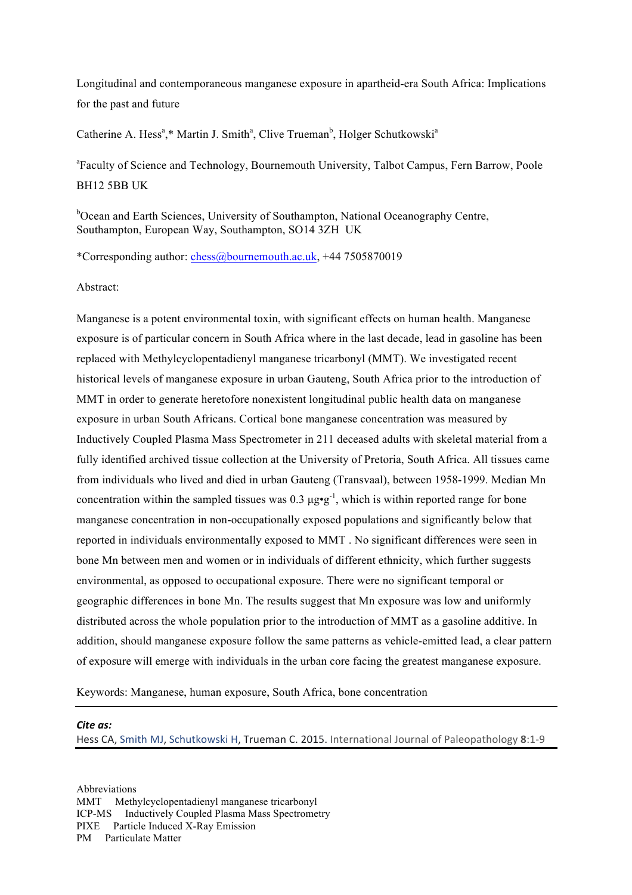Longitudinal and contemporaneous manganese exposure in apartheid-era South Africa: Implications for the past and future

Catherine A. Hess<sup>a</sup>,\* Martin J. Smith<sup>a</sup>, Clive Trueman<sup>b</sup>, Holger Schutkowski<sup>a</sup>

<sup>a</sup>Faculty of Science and Technology, Bournemouth University, Talbot Campus, Fern Barrow, Poole BH12 5BB UK

<sup>b</sup>Ocean and Earth Sciences, University of Southampton, National Oceanography Centre, Southampton, European Way, Southampton, SO14 3ZH UK

\*Corresponding author: chess@bournemouth.ac.uk, +44 7505870019

Abstract:

Manganese is a potent environmental toxin, with significant effects on human health. Manganese exposure is of particular concern in South Africa where in the last decade, lead in gasoline has been replaced with Methylcyclopentadienyl manganese tricarbonyl (MMT). We investigated recent historical levels of manganese exposure in urban Gauteng, South Africa prior to the introduction of MMT in order to generate heretofore nonexistent longitudinal public health data on manganese exposure in urban South Africans. Cortical bone manganese concentration was measured by Inductively Coupled Plasma Mass Spectrometer in 211 deceased adults with skeletal material from a fully identified archived tissue collection at the University of Pretoria, South Africa. All tissues came from individuals who lived and died in urban Gauteng (Transvaal), between 1958-1999. Median Mn concentration within the sampled tissues was 0.3  $\mu$ g•g<sup>-1</sup>, which is within reported range for bone manganese concentration in non-occupationally exposed populations and significantly below that reported in individuals environmentally exposed to MMT . No significant differences were seen in bone Mn between men and women or in individuals of different ethnicity, which further suggests environmental, as opposed to occupational exposure. There were no significant temporal or geographic differences in bone Mn. The results suggest that Mn exposure was low and uniformly distributed across the whole population prior to the introduction of MMT as a gasoline additive. In addition, should manganese exposure follow the same patterns as vehicle-emitted lead, a clear pattern of exposure will emerge with individuals in the urban core facing the greatest manganese exposure.

Keywords: Manganese, human exposure, South Africa, bone concentration

#### Cite *as*:

Hess CA, Smith MJ, Schutkowski H, Trueman C. 2015. International Journal of Paleopathology 8:1-9

Abbreviations MMT Methylcyclopentadienyl manganese tricarbonyl ICP-MS Inductively Coupled Plasma Mass Spectrometry PIXE Particle Induced X-Ray Emission PM Particulate Matter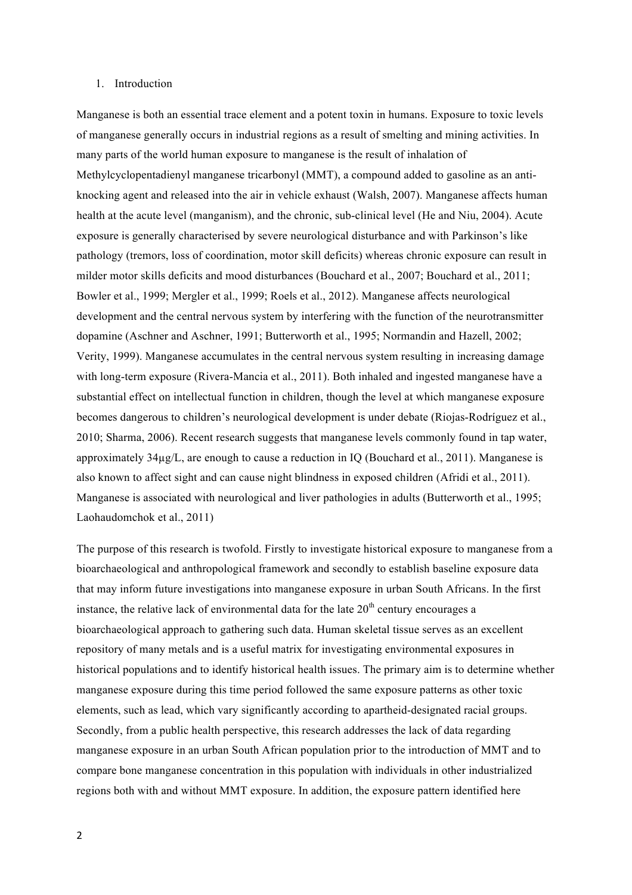### 1. Introduction

Manganese is both an essential trace element and a potent toxin in humans. Exposure to toxic levels of manganese generally occurs in industrial regions as a result of smelting and mining activities. In many parts of the world human exposure to manganese is the result of inhalation of Methylcyclopentadienyl manganese tricarbonyl (MMT), a compound added to gasoline as an antiknocking agent and released into the air in vehicle exhaust (Walsh, 2007). Manganese affects human health at the acute level (manganism), and the chronic, sub-clinical level (He and Niu, 2004). Acute exposure is generally characterised by severe neurological disturbance and with Parkinson's like pathology (tremors, loss of coordination, motor skill deficits) whereas chronic exposure can result in milder motor skills deficits and mood disturbances (Bouchard et al., 2007; Bouchard et al., 2011; Bowler et al., 1999; Mergler et al., 1999; Roels et al., 2012). Manganese affects neurological development and the central nervous system by interfering with the function of the neurotransmitter dopamine (Aschner and Aschner, 1991; Butterworth et al., 1995; Normandin and Hazell, 2002; Verity, 1999). Manganese accumulates in the central nervous system resulting in increasing damage with long-term exposure (Rivera-Mancia et al., 2011). Both inhaled and ingested manganese have a substantial effect on intellectual function in children, though the level at which manganese exposure becomes dangerous to children's neurological development is under debate (Riojas-Rodríguez et al., 2010; Sharma, 2006). Recent research suggests that manganese levels commonly found in tap water, approximately 34µg/L, are enough to cause a reduction in IQ (Bouchard et al., 2011). Manganese is also known to affect sight and can cause night blindness in exposed children (Afridi et al., 2011). Manganese is associated with neurological and liver pathologies in adults (Butterworth et al., 1995; Laohaudomchok et al., 2011)

The purpose of this research is twofold. Firstly to investigate historical exposure to manganese from a bioarchaeological and anthropological framework and secondly to establish baseline exposure data that may inform future investigations into manganese exposure in urban South Africans. In the first instance, the relative lack of environmental data for the late  $20<sup>th</sup>$  century encourages a bioarchaeological approach to gathering such data. Human skeletal tissue serves as an excellent repository of many metals and is a useful matrix for investigating environmental exposures in historical populations and to identify historical health issues. The primary aim is to determine whether manganese exposure during this time period followed the same exposure patterns as other toxic elements, such as lead, which vary significantly according to apartheid-designated racial groups. Secondly, from a public health perspective, this research addresses the lack of data regarding manganese exposure in an urban South African population prior to the introduction of MMT and to compare bone manganese concentration in this population with individuals in other industrialized regions both with and without MMT exposure. In addition, the exposure pattern identified here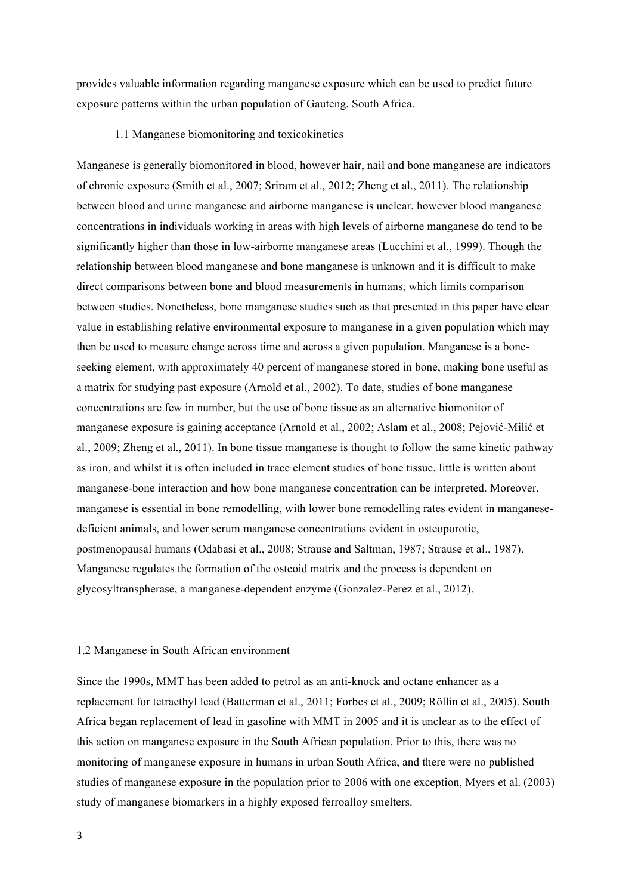provides valuable information regarding manganese exposure which can be used to predict future exposure patterns within the urban population of Gauteng, South Africa.

## 1.1 Manganese biomonitoring and toxicokinetics

Manganese is generally biomonitored in blood, however hair, nail and bone manganese are indicators of chronic exposure (Smith et al., 2007; Sriram et al., 2012; Zheng et al., 2011). The relationship between blood and urine manganese and airborne manganese is unclear, however blood manganese concentrations in individuals working in areas with high levels of airborne manganese do tend to be significantly higher than those in low-airborne manganese areas (Lucchini et al., 1999). Though the relationship between blood manganese and bone manganese is unknown and it is difficult to make direct comparisons between bone and blood measurements in humans, which limits comparison between studies. Nonetheless, bone manganese studies such as that presented in this paper have clear value in establishing relative environmental exposure to manganese in a given population which may then be used to measure change across time and across a given population. Manganese is a boneseeking element, with approximately 40 percent of manganese stored in bone, making bone useful as a matrix for studying past exposure (Arnold et al., 2002). To date, studies of bone manganese concentrations are few in number, but the use of bone tissue as an alternative biomonitor of manganese exposure is gaining acceptance (Arnold et al., 2002; Aslam et al., 2008; Pejović-Milić et al., 2009; Zheng et al., 2011). In bone tissue manganese is thought to follow the same kinetic pathway as iron, and whilst it is often included in trace element studies of bone tissue, little is written about manganese-bone interaction and how bone manganese concentration can be interpreted. Moreover, manganese is essential in bone remodelling, with lower bone remodelling rates evident in manganesedeficient animals, and lower serum manganese concentrations evident in osteoporotic, postmenopausal humans (Odabasi et al., 2008; Strause and Saltman, 1987; Strause et al., 1987). Manganese regulates the formation of the osteoid matrix and the process is dependent on glycosyltranspherase, a manganese-dependent enzyme (Gonzalez-Perez et al., 2012).

#### 1.2 Manganese in South African environment

Since the 1990s, MMT has been added to petrol as an anti-knock and octane enhancer as a replacement for tetraethyl lead (Batterman et al., 2011; Forbes et al., 2009; Röllin et al., 2005). South Africa began replacement of lead in gasoline with MMT in 2005 and it is unclear as to the effect of this action on manganese exposure in the South African population. Prior to this, there was no monitoring of manganese exposure in humans in urban South Africa, and there were no published studies of manganese exposure in the population prior to 2006 with one exception, Myers et al. (2003) study of manganese biomarkers in a highly exposed ferroalloy smelters.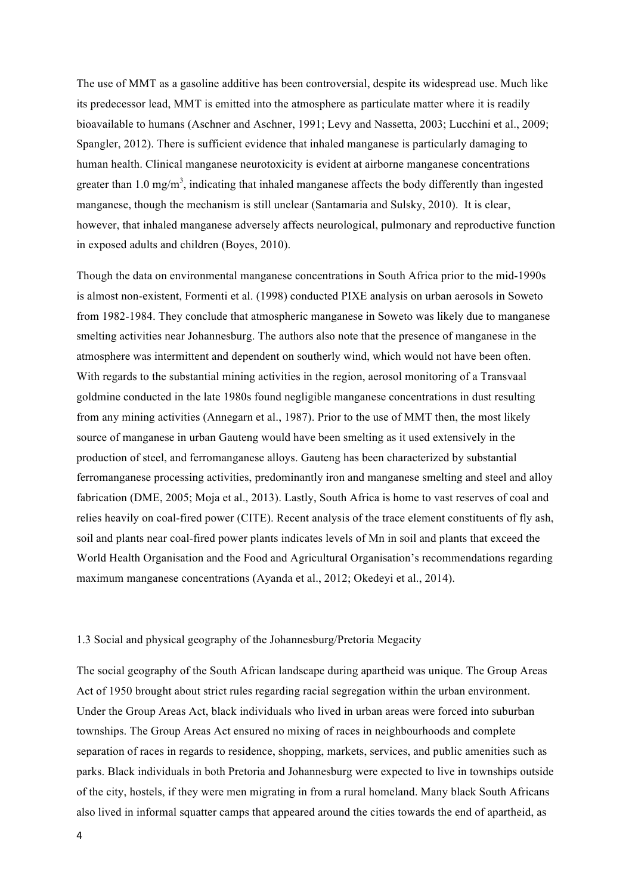The use of MMT as a gasoline additive has been controversial, despite its widespread use. Much like its predecessor lead, MMT is emitted into the atmosphere as particulate matter where it is readily bioavailable to humans (Aschner and Aschner, 1991; Levy and Nassetta, 2003; Lucchini et al., 2009; Spangler, 2012). There is sufficient evidence that inhaled manganese is particularly damaging to human health. Clinical manganese neurotoxicity is evident at airborne manganese concentrations greater than 1.0 mg/m<sup>3</sup>, indicating that inhaled manganese affects the body differently than ingested manganese, though the mechanism is still unclear (Santamaria and Sulsky, 2010). It is clear, however, that inhaled manganese adversely affects neurological, pulmonary and reproductive function in exposed adults and children (Boyes, 2010).

Though the data on environmental manganese concentrations in South Africa prior to the mid-1990s is almost non-existent, Formenti et al. (1998) conducted PIXE analysis on urban aerosols in Soweto from 1982-1984. They conclude that atmospheric manganese in Soweto was likely due to manganese smelting activities near Johannesburg. The authors also note that the presence of manganese in the atmosphere was intermittent and dependent on southerly wind, which would not have been often. With regards to the substantial mining activities in the region, aerosol monitoring of a Transvaal goldmine conducted in the late 1980s found negligible manganese concentrations in dust resulting from any mining activities (Annegarn et al., 1987). Prior to the use of MMT then, the most likely source of manganese in urban Gauteng would have been smelting as it used extensively in the production of steel, and ferromanganese alloys. Gauteng has been characterized by substantial ferromanganese processing activities, predominantly iron and manganese smelting and steel and alloy fabrication (DME, 2005; Moja et al., 2013). Lastly, South Africa is home to vast reserves of coal and relies heavily on coal-fired power (CITE). Recent analysis of the trace element constituents of fly ash, soil and plants near coal-fired power plants indicates levels of Mn in soil and plants that exceed the World Health Organisation and the Food and Agricultural Organisation's recommendations regarding maximum manganese concentrations (Ayanda et al., 2012; Okedeyi et al., 2014).

# 1.3 Social and physical geography of the Johannesburg/Pretoria Megacity

The social geography of the South African landscape during apartheid was unique. The Group Areas Act of 1950 brought about strict rules regarding racial segregation within the urban environment. Under the Group Areas Act, black individuals who lived in urban areas were forced into suburban townships. The Group Areas Act ensured no mixing of races in neighbourhoods and complete separation of races in regards to residence, shopping, markets, services, and public amenities such as parks. Black individuals in both Pretoria and Johannesburg were expected to live in townships outside of the city, hostels, if they were men migrating in from a rural homeland. Many black South Africans also lived in informal squatter camps that appeared around the cities towards the end of apartheid, as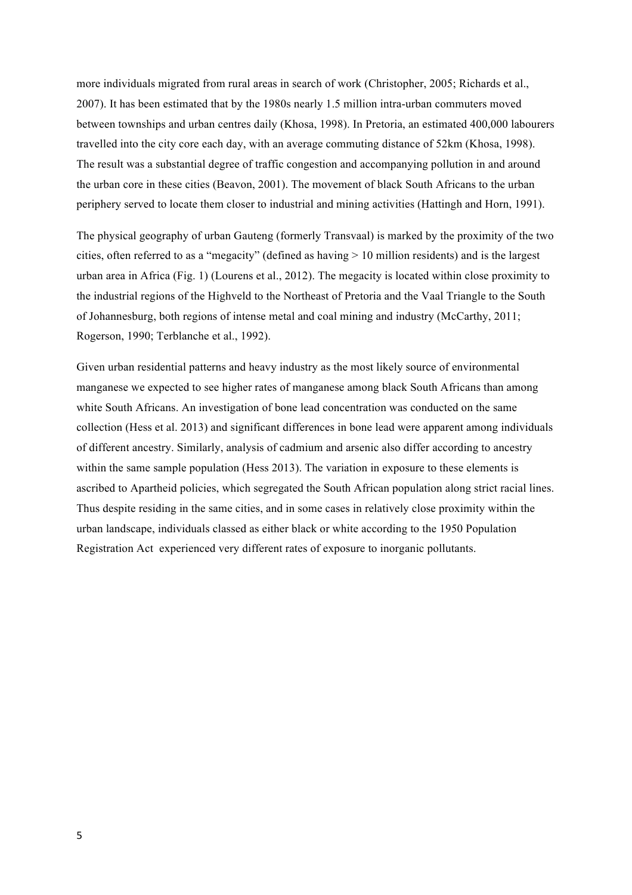more individuals migrated from rural areas in search of work (Christopher, 2005; Richards et al., 2007). It has been estimated that by the 1980s nearly 1.5 million intra-urban commuters moved between townships and urban centres daily (Khosa, 1998). In Pretoria, an estimated 400,000 labourers travelled into the city core each day, with an average commuting distance of 52km (Khosa, 1998). The result was a substantial degree of traffic congestion and accompanying pollution in and around the urban core in these cities (Beavon, 2001). The movement of black South Africans to the urban periphery served to locate them closer to industrial and mining activities (Hattingh and Horn, 1991).

The physical geography of urban Gauteng (formerly Transvaal) is marked by the proximity of the two cities, often referred to as a "megacity" (defined as having  $> 10$  million residents) and is the largest urban area in Africa (Fig. 1) (Lourens et al., 2012). The megacity is located within close proximity to the industrial regions of the Highveld to the Northeast of Pretoria and the Vaal Triangle to the South of Johannesburg, both regions of intense metal and coal mining and industry (McCarthy, 2011; Rogerson, 1990; Terblanche et al., 1992).

Given urban residential patterns and heavy industry as the most likely source of environmental manganese we expected to see higher rates of manganese among black South Africans than among white South Africans. An investigation of bone lead concentration was conducted on the same collection (Hess et al. 2013) and significant differences in bone lead were apparent among individuals of different ancestry. Similarly, analysis of cadmium and arsenic also differ according to ancestry within the same sample population (Hess 2013). The variation in exposure to these elements is ascribed to Apartheid policies, which segregated the South African population along strict racial lines. Thus despite residing in the same cities, and in some cases in relatively close proximity within the urban landscape, individuals classed as either black or white according to the 1950 Population Registration Act experienced very different rates of exposure to inorganic pollutants.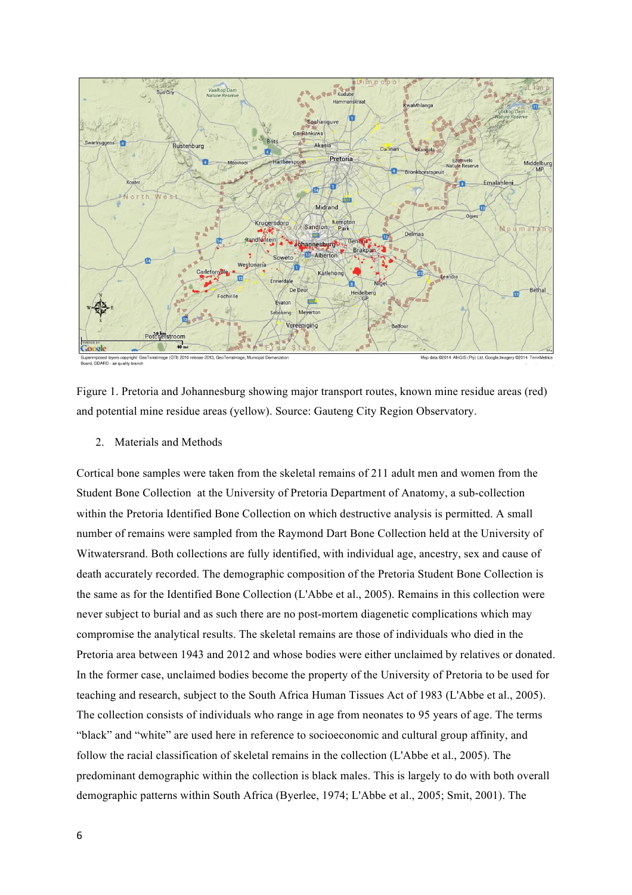

Figure 1. Pretoria and Johannesburg showing major transport routes, known mine residue areas (red) and potential mine residue areas (yellow). Source: Gauteng City Region Observatory.

2. Materials and Methods

Cortical bone samples were taken from the skeletal remains of 211 adult men and women from the Student Bone Collection at the University of Pretoria Department of Anatomy, a sub-collection within the Pretoria Identified Bone Collection on which destructive analysis is permitted. A small number of remains were sampled from the Raymond Dart Bone Collection held at the University of Witwatersrand. Both collections are fully identified, with individual age, ancestry, sex and cause of death accurately recorded. The demographic composition of the Pretoria Student Bone Collection is the same as for the Identified Bone Collection (L'Abbe et al., 2005). Remains in this collection were never subject to burial and as such there are no post-mortem diagenetic complications which may compromise the analytical results. The skeletal remains are those of individuals who died in the Pretoria area between 1943 and 2012 and whose bodies were either unclaimed by relatives or donated. In the former case, unclaimed bodies become the property of the University of Pretoria to be used for teaching and research, subject to the South Africa Human Tissues Act of 1983 (L'Abbe et al., 2005). The collection consists of individuals who range in age from neonates to 95 years of age. The terms "black" and "white" are used here in reference to socioeconomic and cultural group affinity, and follow the racial classification of skeletal remains in the collection (L'Abbe et al., 2005). The predominant demographic within the collection is black males. This is largely to do with both overall demographic patterns within South Africa (Byerlee, 1974; L'Abbe et al., 2005; Smit, 2001). The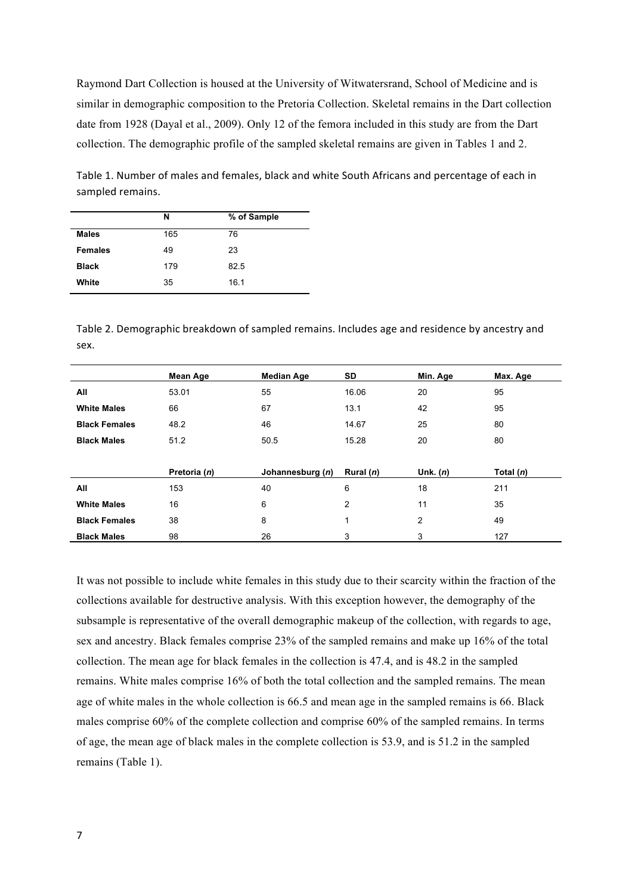Raymond Dart Collection is housed at the University of Witwatersrand, School of Medicine and is similar in demographic composition to the Pretoria Collection. Skeletal remains in the Dart collection date from 1928 (Dayal et al., 2009). Only 12 of the femora included in this study are from the Dart collection. The demographic profile of the sampled skeletal remains are given in Tables 1 and 2.

|                | N   | % of Sample |
|----------------|-----|-------------|
| <b>Males</b>   | 165 | 76          |
| <b>Females</b> | 49  | 23          |
| <b>Black</b>   | 179 | 82.5        |
| White          | 35  | 16.1        |

Table 1. Number of males and females, black and white South Africans and percentage of each in sampled remains.

Table 2. Demographic breakdown of sampled remains. Includes age and residence by ancestry and sex.

|                      | Mean Age     | <b>Median Age</b> | SD          | Min. Age   | Max. Age    |  |
|----------------------|--------------|-------------------|-------------|------------|-------------|--|
| All                  | 53.01        | 55                | 16.06       | 20         | 95          |  |
| <b>White Males</b>   | 66           | 67                | 13.1        | 42         | 95          |  |
| <b>Black Females</b> | 48.2         | 46                | 14.67       | 25         | 80          |  |
| <b>Black Males</b>   | 51.2         | 50.5              | 15.28       | 20         | 80          |  |
|                      |              |                   |             |            |             |  |
|                      | Pretoria (n) | Johannesburg (n)  | Rural $(n)$ | Unk. $(n)$ | Total $(n)$ |  |
| All                  | 153          | 40                | 6           | 18         | 211         |  |
| <b>White Males</b>   | 16           | 6                 | 2           | 11         | 35          |  |
| <b>Black Females</b> | 38           | 8                 | 1           | 2          | 49          |  |
| <b>Black Males</b>   | 98           | 26                | 3           | 3          | 127         |  |

It was not possible to include white females in this study due to their scarcity within the fraction of the collections available for destructive analysis. With this exception however, the demography of the subsample is representative of the overall demographic makeup of the collection, with regards to age, sex and ancestry. Black females comprise 23% of the sampled remains and make up 16% of the total collection. The mean age for black females in the collection is 47.4, and is 48.2 in the sampled remains. White males comprise 16% of both the total collection and the sampled remains. The mean age of white males in the whole collection is 66.5 and mean age in the sampled remains is 66. Black males comprise 60% of the complete collection and comprise 60% of the sampled remains. In terms of age, the mean age of black males in the complete collection is 53.9, and is 51.2 in the sampled remains (Table 1).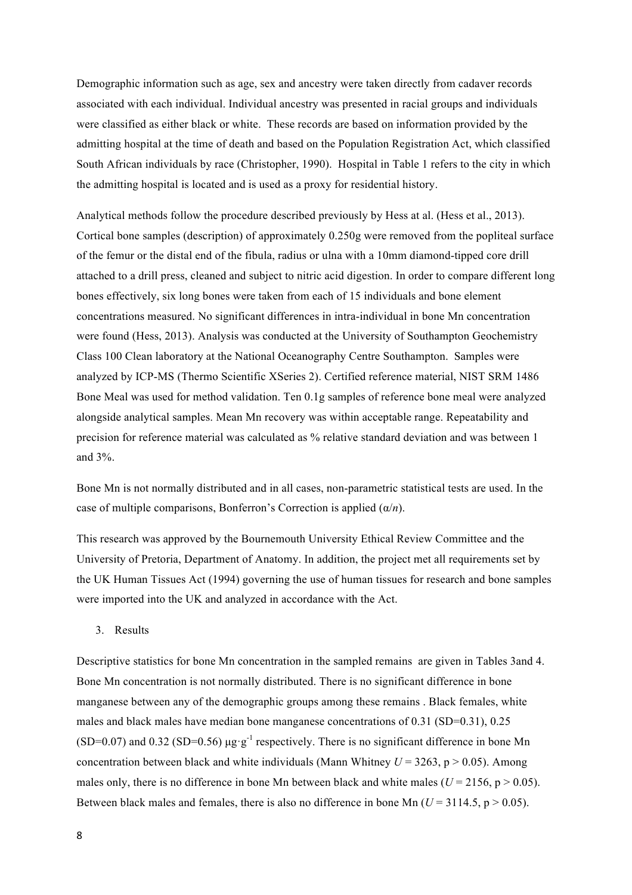Demographic information such as age, sex and ancestry were taken directly from cadaver records associated with each individual. Individual ancestry was presented in racial groups and individuals were classified as either black or white. These records are based on information provided by the admitting hospital at the time of death and based on the Population Registration Act, which classified South African individuals by race (Christopher, 1990). Hospital in Table 1 refers to the city in which the admitting hospital is located and is used as a proxy for residential history.

Analytical methods follow the procedure described previously by Hess at al. (Hess et al., 2013). Cortical bone samples (description) of approximately 0.250g were removed from the popliteal surface of the femur or the distal end of the fibula, radius or ulna with a 10mm diamond-tipped core drill attached to a drill press, cleaned and subject to nitric acid digestion. In order to compare different long bones effectively, six long bones were taken from each of 15 individuals and bone element concentrations measured. No significant differences in intra-individual in bone Mn concentration were found (Hess, 2013). Analysis was conducted at the University of Southampton Geochemistry Class 100 Clean laboratory at the National Oceanography Centre Southampton. Samples were analyzed by ICP-MS (Thermo Scientific XSeries 2). Certified reference material, NIST SRM 1486 Bone Meal was used for method validation. Ten 0.1g samples of reference bone meal were analyzed alongside analytical samples. Mean Mn recovery was within acceptable range. Repeatability and precision for reference material was calculated as % relative standard deviation and was between 1 and 3%.

Bone Mn is not normally distributed and in all cases, non-parametric statistical tests are used. In the case of multiple comparisons, Bonferron's Correction is applied (α/*n*).

This research was approved by the Bournemouth University Ethical Review Committee and the University of Pretoria, Department of Anatomy. In addition, the project met all requirements set by the UK Human Tissues Act (1994) governing the use of human tissues for research and bone samples were imported into the UK and analyzed in accordance with the Act.

#### 3. Results

Descriptive statistics for bone Mn concentration in the sampled remains are given in Tables 3and 4. Bone Mn concentration is not normally distributed. There is no significant difference in bone manganese between any of the demographic groups among these remains . Black females, white males and black males have median bone manganese concentrations of 0.31 (SD=0.31), 0.25 (SD=0.07) and 0.32 (SD=0.56)  $\mu$ g·g<sup>-1</sup> respectively. There is no significant difference in bone Mn concentration between black and white individuals (Mann Whitney  $U = 3263$ ,  $p > 0.05$ ). Among males only, there is no difference in bone Mn between black and white males ( $U = 2156$ ,  $p > 0.05$ ). Between black males and females, there is also no difference in bone Mn  $(U = 3114.5, p > 0.05)$ .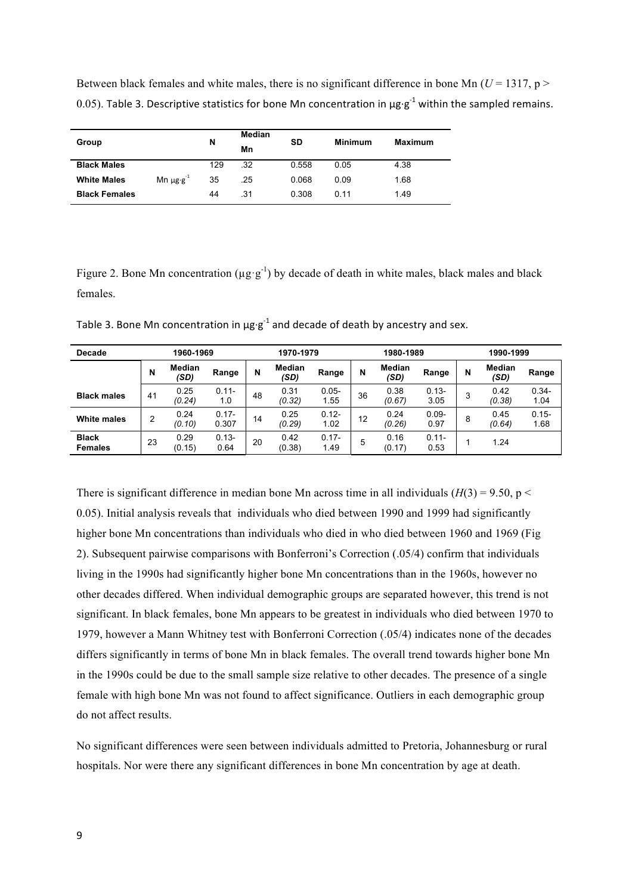Between black females and white males, there is no significant difference in bone Mn ( $U = 1317$ , p > 0.05). Table 3. Descriptive statistics for bone Mn concentration in  $\mu$ g·g<sup>-1</sup> within the sampled remains.

| Group                |                                    | N   | Median<br>Mn | SD    | Minimum | <b>Maximum</b> |  |
|----------------------|------------------------------------|-----|--------------|-------|---------|----------------|--|
| <b>Black Males</b>   |                                    | 129 | .32          | 0.558 | 0.05    | 4.38           |  |
| <b>White Males</b>   | Mn $\mu$ g $\cdot$ g <sup>-1</sup> | 35  | .25          | 0.068 | 0.09    | 1.68           |  |
| <b>Black Females</b> |                                    | 44  | .31          | 0.308 | 0.11    | 1.49           |  |

Figure 2. Bone Mn concentration ( $\mu$ g·g<sup>-1</sup>) by decade of death in white males, black males and black females.

| Decade                         | 1960-1969 |                       |                   | 1970-1979 |                       |                  | 1980-1989 |                       |                  | 1990-1999 |                       |                  |
|--------------------------------|-----------|-----------------------|-------------------|-----------|-----------------------|------------------|-----------|-----------------------|------------------|-----------|-----------------------|------------------|
|                                | N         | <b>Median</b><br>(SD) | Range             | N         | <b>Median</b><br>(SD) | Range            | N         | <b>Median</b><br>(SD) | Range            | N         | <b>Median</b><br>(SD) | Range            |
| <b>Black males</b>             | 41        | 0.25<br>(0.24)        | $0.11 -$<br>1.0   | 48        | 0.31<br>(0.32)        | $0.05 -$<br>1.55 | 36        | 0.38<br>(0.67)        | $0.13 -$<br>3.05 | 3         | 0.42<br>(0.38)        | $0.34 -$<br>1.04 |
| White males                    | 2         | 0.24<br>(0.10)        | $0.17 -$<br>0.307 | 14        | 0.25<br>(0.29)        | $0.12 -$<br>1.02 | 12        | 0.24<br>(0.26)        | $0.09 -$<br>0.97 | 8         | 0.45<br>(0.64)        | $0.15 -$<br>1.68 |
| <b>Black</b><br><b>Females</b> | 23        | 0.29<br>(0.15)        | $0.13 -$<br>0.64  | 20        | 0.42<br>(0.38)        | $0.17 -$<br>1.49 | 5         | 0.16<br>(0.17)        | $0.11 -$<br>0.53 |           | 1.24                  |                  |

Table 3. Bone Mn concentration in  $\mu$ g-g<sup>-1</sup> and decade of death by ancestry and sex.

There is significant difference in median bone Mn across time in all individuals  $(H(3) = 9.50, p <$ 0.05). Initial analysis reveals that individuals who died between 1990 and 1999 had significantly higher bone Mn concentrations than individuals who died in who died between 1960 and 1969 (Fig 2). Subsequent pairwise comparisons with Bonferroni's Correction (.05/4) confirm that individuals living in the 1990s had significantly higher bone Mn concentrations than in the 1960s, however no other decades differed. When individual demographic groups are separated however, this trend is not significant. In black females, bone Mn appears to be greatest in individuals who died between 1970 to 1979, however a Mann Whitney test with Bonferroni Correction (.05/4) indicates none of the decades differs significantly in terms of bone Mn in black females. The overall trend towards higher bone Mn in the 1990s could be due to the small sample size relative to other decades. The presence of a single female with high bone Mn was not found to affect significance. Outliers in each demographic group do not affect results.

No significant differences were seen between individuals admitted to Pretoria, Johannesburg or rural hospitals. Nor were there any significant differences in bone Mn concentration by age at death.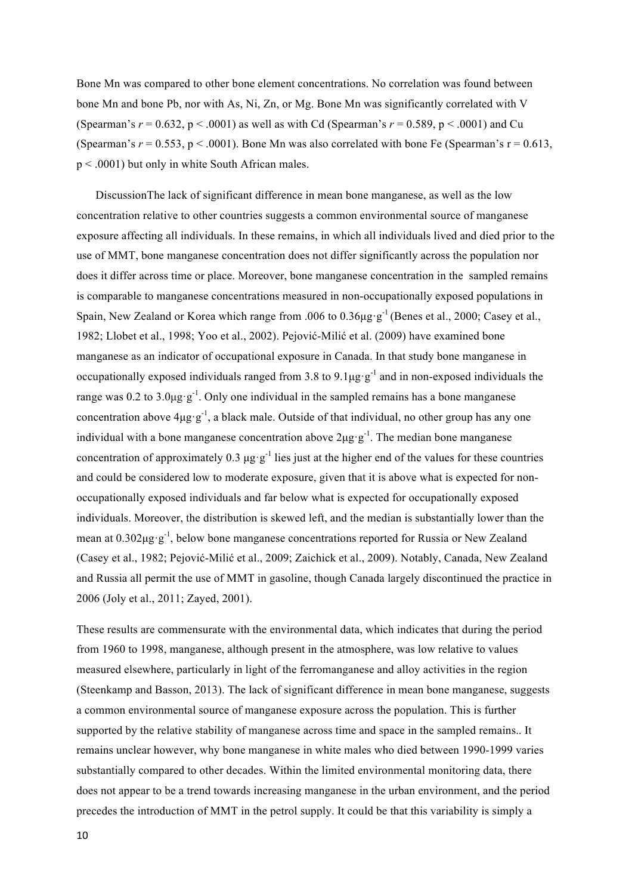Bone Mn was compared to other bone element concentrations. No correlation was found between bone Mn and bone Pb, nor with As, Ni, Zn, or Mg. Bone Mn was significantly correlated with V (Spearman's  $r = 0.632$ ,  $p < .0001$ ) as well as with Cd (Spearman's  $r = 0.589$ ,  $p < .0001$ ) and Cu (Spearman's  $r = 0.553$ ,  $p < .0001$ ). Bone Mn was also correlated with bone Fe (Spearman's  $r = 0.613$ , p < .0001) but only in white South African males.

DiscussionThe lack of significant difference in mean bone manganese, as well as the low concentration relative to other countries suggests a common environmental source of manganese exposure affecting all individuals. In these remains, in which all individuals lived and died prior to the use of MMT, bone manganese concentration does not differ significantly across the population nor does it differ across time or place. Moreover, bone manganese concentration in the sampled remains is comparable to manganese concentrations measured in non-occupationally exposed populations in Spain, New Zealand or Korea which range from .006 to 0.36 $\mu$ g·g<sup>-1</sup> (Benes et al., 2000; Casey et al., 1982; Llobet et al., 1998; Yoo et al., 2002). Pejović-Milić et al. (2009) have examined bone manganese as an indicator of occupational exposure in Canada. In that study bone manganese in occupationally exposed individuals ranged from 3.8 to 9.1 $\mu$ g·g<sup>-1</sup> and in non-exposed individuals the range was 0.2 to 3.0 $\mu$ g·g<sup>-1</sup>. Only one individual in the sampled remains has a bone manganese concentration above  $4\mu g \cdot g^{-1}$ , a black male. Outside of that individual, no other group has any one individual with a bone manganese concentration above  $2\mu g \cdot g^{-1}$ . The median bone manganese concentration of approximately 0.3  $\mu$ g·g<sup>-1</sup> lies just at the higher end of the values for these countries and could be considered low to moderate exposure, given that it is above what is expected for nonoccupationally exposed individuals and far below what is expected for occupationally exposed individuals. Moreover, the distribution is skewed left, and the median is substantially lower than the mean at  $0.302\mu$ g·g<sup>-1</sup>, below bone manganese concentrations reported for Russia or New Zealand (Casey et al., 1982; Pejović-Milić et al., 2009; Zaichick et al., 2009). Notably, Canada, New Zealand and Russia all permit the use of MMT in gasoline, though Canada largely discontinued the practice in 2006 (Joly et al., 2011; Zayed, 2001).

These results are commensurate with the environmental data, which indicates that during the period from 1960 to 1998, manganese, although present in the atmosphere, was low relative to values measured elsewhere, particularly in light of the ferromanganese and alloy activities in the region (Steenkamp and Basson, 2013). The lack of significant difference in mean bone manganese, suggests a common environmental source of manganese exposure across the population. This is further supported by the relative stability of manganese across time and space in the sampled remains.. It remains unclear however, why bone manganese in white males who died between 1990-1999 varies substantially compared to other decades. Within the limited environmental monitoring data, there does not appear to be a trend towards increasing manganese in the urban environment, and the period precedes the introduction of MMT in the petrol supply. It could be that this variability is simply a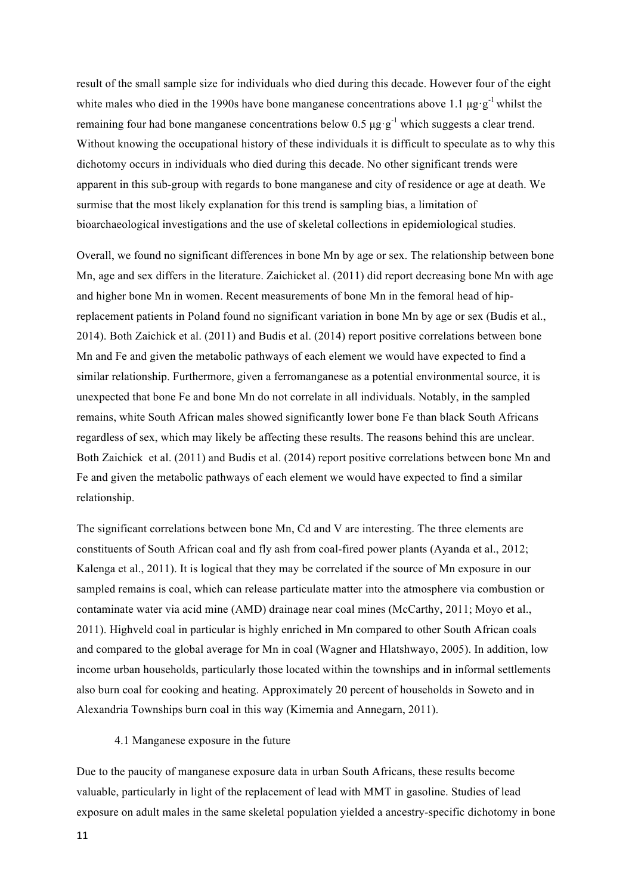result of the small sample size for individuals who died during this decade. However four of the eight white males who died in the 1990s have bone manganese concentrations above 1.1  $\mu$ g·g<sup>-1</sup> whilst the remaining four had bone manganese concentrations below 0.5  $\mu$ g $\cdot$ g<sup>-1</sup> which suggests a clear trend. Without knowing the occupational history of these individuals it is difficult to speculate as to why this dichotomy occurs in individuals who died during this decade. No other significant trends were apparent in this sub-group with regards to bone manganese and city of residence or age at death. We surmise that the most likely explanation for this trend is sampling bias, a limitation of bioarchaeological investigations and the use of skeletal collections in epidemiological studies.

Overall, we found no significant differences in bone Mn by age or sex. The relationship between bone Mn, age and sex differs in the literature. Zaichicket al. (2011) did report decreasing bone Mn with age and higher bone Mn in women. Recent measurements of bone Mn in the femoral head of hipreplacement patients in Poland found no significant variation in bone Mn by age or sex (Budis et al., 2014). Both Zaichick et al. (2011) and Budis et al. (2014) report positive correlations between bone Mn and Fe and given the metabolic pathways of each element we would have expected to find a similar relationship. Furthermore, given a ferromanganese as a potential environmental source, it is unexpected that bone Fe and bone Mn do not correlate in all individuals. Notably, in the sampled remains, white South African males showed significantly lower bone Fe than black South Africans regardless of sex, which may likely be affecting these results. The reasons behind this are unclear. Both Zaichick et al. (2011) and Budis et al. (2014) report positive correlations between bone Mn and Fe and given the metabolic pathways of each element we would have expected to find a similar relationship.

The significant correlations between bone Mn, Cd and V are interesting. The three elements are constituents of South African coal and fly ash from coal-fired power plants (Ayanda et al., 2012; Kalenga et al., 2011). It is logical that they may be correlated if the source of Mn exposure in our sampled remains is coal, which can release particulate matter into the atmosphere via combustion or contaminate water via acid mine (AMD) drainage near coal mines (McCarthy, 2011; Moyo et al., 2011). Highveld coal in particular is highly enriched in Mn compared to other South African coals and compared to the global average for Mn in coal (Wagner and Hlatshwayo, 2005). In addition, low income urban households, particularly those located within the townships and in informal settlements also burn coal for cooking and heating. Approximately 20 percent of households in Soweto and in Alexandria Townships burn coal in this way (Kimemia and Annegarn, 2011).

# 4.1 Manganese exposure in the future

Due to the paucity of manganese exposure data in urban South Africans, these results become valuable, particularly in light of the replacement of lead with MMT in gasoline. Studies of lead exposure on adult males in the same skeletal population yielded a ancestry-specific dichotomy in bone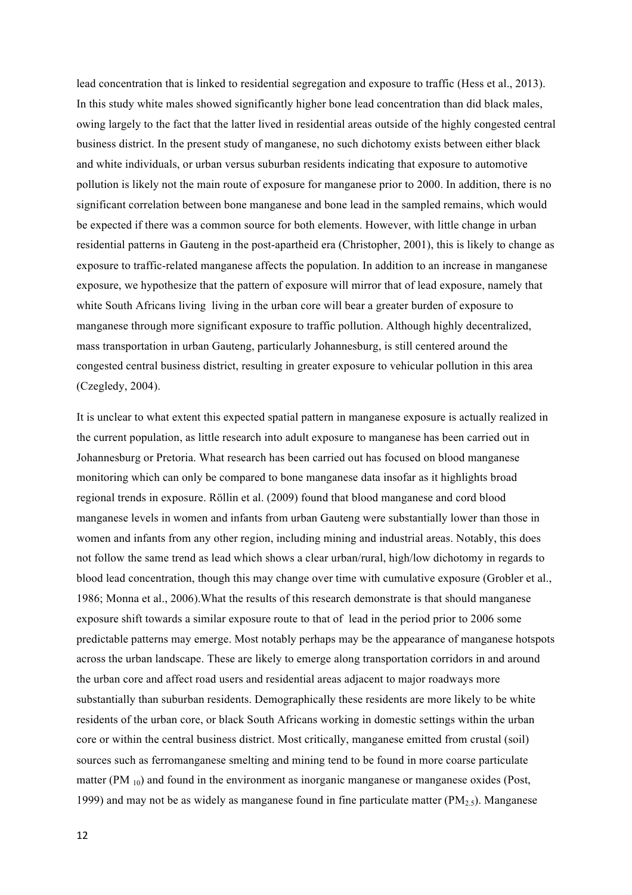lead concentration that is linked to residential segregation and exposure to traffic (Hess et al., 2013). In this study white males showed significantly higher bone lead concentration than did black males, owing largely to the fact that the latter lived in residential areas outside of the highly congested central business district. In the present study of manganese, no such dichotomy exists between either black and white individuals, or urban versus suburban residents indicating that exposure to automotive pollution is likely not the main route of exposure for manganese prior to 2000. In addition, there is no significant correlation between bone manganese and bone lead in the sampled remains, which would be expected if there was a common source for both elements. However, with little change in urban residential patterns in Gauteng in the post-apartheid era (Christopher, 2001), this is likely to change as exposure to traffic-related manganese affects the population. In addition to an increase in manganese exposure, we hypothesize that the pattern of exposure will mirror that of lead exposure, namely that white South Africans living living in the urban core will bear a greater burden of exposure to manganese through more significant exposure to traffic pollution. Although highly decentralized, mass transportation in urban Gauteng, particularly Johannesburg, is still centered around the congested central business district, resulting in greater exposure to vehicular pollution in this area (Czegledy, 2004).

It is unclear to what extent this expected spatial pattern in manganese exposure is actually realized in the current population, as little research into adult exposure to manganese has been carried out in Johannesburg or Pretoria. What research has been carried out has focused on blood manganese monitoring which can only be compared to bone manganese data insofar as it highlights broad regional trends in exposure. Rӧllin et al. (2009) found that blood manganese and cord blood manganese levels in women and infants from urban Gauteng were substantially lower than those in women and infants from any other region, including mining and industrial areas. Notably, this does not follow the same trend as lead which shows a clear urban/rural, high/low dichotomy in regards to blood lead concentration, though this may change over time with cumulative exposure (Grobler et al., 1986; Monna et al., 2006).What the results of this research demonstrate is that should manganese exposure shift towards a similar exposure route to that of lead in the period prior to 2006 some predictable patterns may emerge. Most notably perhaps may be the appearance of manganese hotspots across the urban landscape. These are likely to emerge along transportation corridors in and around the urban core and affect road users and residential areas adjacent to major roadways more substantially than suburban residents. Demographically these residents are more likely to be white residents of the urban core, or black South Africans working in domestic settings within the urban core or within the central business district. Most critically, manganese emitted from crustal (soil) sources such as ferromanganese smelting and mining tend to be found in more coarse particulate matter (PM  $_{10}$ ) and found in the environment as inorganic manganese or manganese oxides (Post, 1999) and may not be as widely as manganese found in fine particulate matter  $(PM<sub>2.5</sub>)$ . Manganese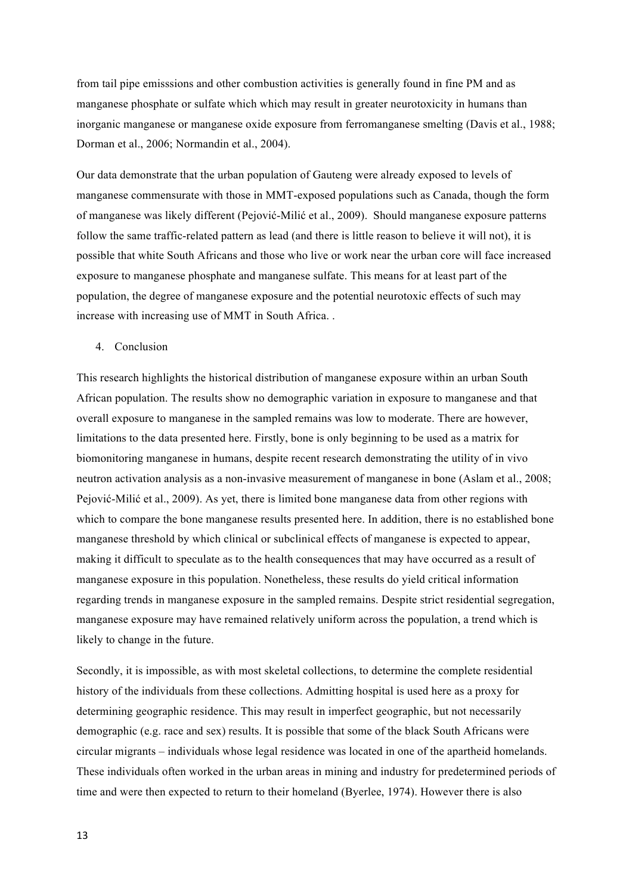from tail pipe emisssions and other combustion activities is generally found in fine PM and as manganese phosphate or sulfate which which may result in greater neurotoxicity in humans than inorganic manganese or manganese oxide exposure from ferromanganese smelting (Davis et al., 1988; Dorman et al., 2006; Normandin et al., 2004).

Our data demonstrate that the urban population of Gauteng were already exposed to levels of manganese commensurate with those in MMT-exposed populations such as Canada, though the form of manganese was likely different (Pejović-Milić et al., 2009). Should manganese exposure patterns follow the same traffic-related pattern as lead (and there is little reason to believe it will not), it is possible that white South Africans and those who live or work near the urban core will face increased exposure to manganese phosphate and manganese sulfate. This means for at least part of the population, the degree of manganese exposure and the potential neurotoxic effects of such may increase with increasing use of MMT in South Africa. .

## 4. Conclusion

This research highlights the historical distribution of manganese exposure within an urban South African population. The results show no demographic variation in exposure to manganese and that overall exposure to manganese in the sampled remains was low to moderate. There are however, limitations to the data presented here. Firstly, bone is only beginning to be used as a matrix for biomonitoring manganese in humans, despite recent research demonstrating the utility of in vivo neutron activation analysis as a non-invasive measurement of manganese in bone (Aslam et al., 2008; Pejović-Milić et al., 2009). As yet, there is limited bone manganese data from other regions with which to compare the bone manganese results presented here. In addition, there is no established bone manganese threshold by which clinical or subclinical effects of manganese is expected to appear, making it difficult to speculate as to the health consequences that may have occurred as a result of manganese exposure in this population. Nonetheless, these results do yield critical information regarding trends in manganese exposure in the sampled remains. Despite strict residential segregation, manganese exposure may have remained relatively uniform across the population, a trend which is likely to change in the future.

Secondly, it is impossible, as with most skeletal collections, to determine the complete residential history of the individuals from these collections. Admitting hospital is used here as a proxy for determining geographic residence. This may result in imperfect geographic, but not necessarily demographic (e.g. race and sex) results. It is possible that some of the black South Africans were circular migrants – individuals whose legal residence was located in one of the apartheid homelands. These individuals often worked in the urban areas in mining and industry for predetermined periods of time and were then expected to return to their homeland (Byerlee, 1974). However there is also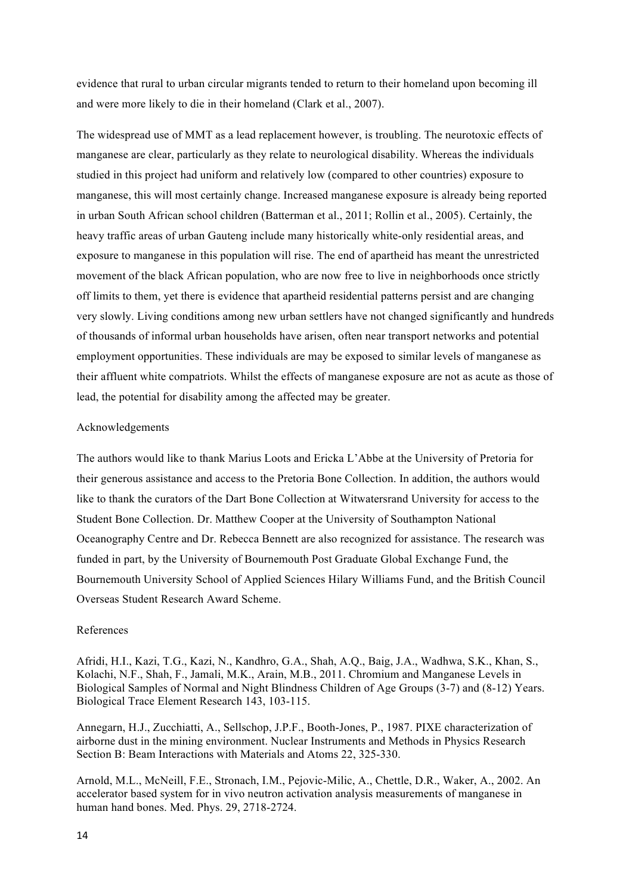evidence that rural to urban circular migrants tended to return to their homeland upon becoming ill and were more likely to die in their homeland (Clark et al., 2007).

The widespread use of MMT as a lead replacement however, is troubling. The neurotoxic effects of manganese are clear, particularly as they relate to neurological disability. Whereas the individuals studied in this project had uniform and relatively low (compared to other countries) exposure to manganese, this will most certainly change. Increased manganese exposure is already being reported in urban South African school children (Batterman et al., 2011; Rollin et al., 2005). Certainly, the heavy traffic areas of urban Gauteng include many historically white-only residential areas, and exposure to manganese in this population will rise. The end of apartheid has meant the unrestricted movement of the black African population, who are now free to live in neighborhoods once strictly off limits to them, yet there is evidence that apartheid residential patterns persist and are changing very slowly. Living conditions among new urban settlers have not changed significantly and hundreds of thousands of informal urban households have arisen, often near transport networks and potential employment opportunities. These individuals are may be exposed to similar levels of manganese as their affluent white compatriots. Whilst the effects of manganese exposure are not as acute as those of lead, the potential for disability among the affected may be greater.

### Acknowledgements

The authors would like to thank Marius Loots and Ericka L'Abbe at the University of Pretoria for their generous assistance and access to the Pretoria Bone Collection. In addition, the authors would like to thank the curators of the Dart Bone Collection at Witwatersrand University for access to the Student Bone Collection. Dr. Matthew Cooper at the University of Southampton National Oceanography Centre and Dr. Rebecca Bennett are also recognized for assistance. The research was funded in part, by the University of Bournemouth Post Graduate Global Exchange Fund, the Bournemouth University School of Applied Sciences Hilary Williams Fund, and the British Council Overseas Student Research Award Scheme.

#### References

Afridi, H.I., Kazi, T.G., Kazi, N., Kandhro, G.A., Shah, A.Q., Baig, J.A., Wadhwa, S.K., Khan, S., Kolachi, N.F., Shah, F., Jamali, M.K., Arain, M.B., 2011. Chromium and Manganese Levels in Biological Samples of Normal and Night Blindness Children of Age Groups (3-7) and (8-12) Years. Biological Trace Element Research 143, 103-115.

Annegarn, H.J., Zucchiatti, A., Sellschop, J.P.F., Booth-Jones, P., 1987. PIXE characterization of airborne dust in the mining environment. Nuclear Instruments and Methods in Physics Research Section B: Beam Interactions with Materials and Atoms 22, 325-330.

Arnold, M.L., McNeill, F.E., Stronach, I.M., Pejovic-Milic, A., Chettle, D.R., Waker, A., 2002. An accelerator based system for in vivo neutron activation analysis measurements of manganese in human hand bones. Med. Phys. 29, 2718-2724.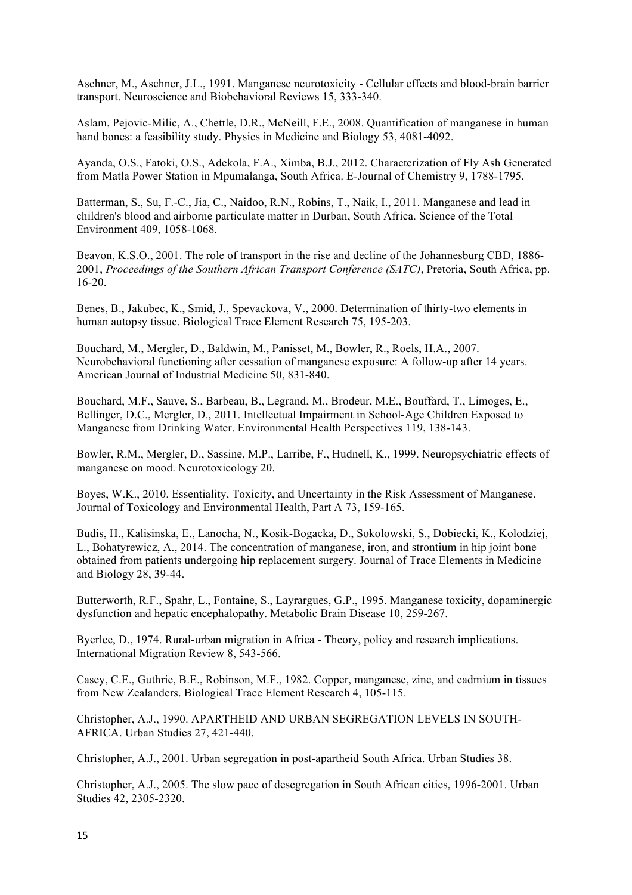Aschner, M., Aschner, J.L., 1991. Manganese neurotoxicity - Cellular effects and blood-brain barrier transport. Neuroscience and Biobehavioral Reviews 15, 333-340.

Aslam, Pejovic-Milic, A., Chettle, D.R., McNeill, F.E., 2008. Quantification of manganese in human hand bones: a feasibility study. Physics in Medicine and Biology 53, 4081-4092.

Ayanda, O.S., Fatoki, O.S., Adekola, F.A., Ximba, B.J., 2012. Characterization of Fly Ash Generated from Matla Power Station in Mpumalanga, South Africa. E-Journal of Chemistry 9, 1788-1795.

Batterman, S., Su, F.-C., Jia, C., Naidoo, R.N., Robins, T., Naik, I., 2011. Manganese and lead in children's blood and airborne particulate matter in Durban, South Africa. Science of the Total Environment 409, 1058-1068.

Beavon, K.S.O., 2001. The role of transport in the rise and decline of the Johannesburg CBD, 1886- 2001, *Proceedings of the Southern African Transport Conference (SATC)*, Pretoria, South Africa, pp. 16-20.

Benes, B., Jakubec, K., Smid, J., Spevackova, V., 2000. Determination of thirty-two elements in human autopsy tissue. Biological Trace Element Research 75, 195-203.

Bouchard, M., Mergler, D., Baldwin, M., Panisset, M., Bowler, R., Roels, H.A., 2007. Neurobehavioral functioning after cessation of manganese exposure: A follow-up after 14 years. American Journal of Industrial Medicine 50, 831-840.

Bouchard, M.F., Sauve, S., Barbeau, B., Legrand, M., Brodeur, M.E., Bouffard, T., Limoges, E., Bellinger, D.C., Mergler, D., 2011. Intellectual Impairment in School-Age Children Exposed to Manganese from Drinking Water. Environmental Health Perspectives 119, 138-143.

Bowler, R.M., Mergler, D., Sassine, M.P., Larribe, F., Hudnell, K., 1999. Neuropsychiatric effects of manganese on mood. Neurotoxicology 20.

Boyes, W.K., 2010. Essentiality, Toxicity, and Uncertainty in the Risk Assessment of Manganese. Journal of Toxicology and Environmental Health, Part A 73, 159-165.

Budis, H., Kalisinska, E., Lanocha, N., Kosik-Bogacka, D., Sokolowski, S., Dobiecki, K., Kolodziej, L., Bohatyrewicz, A., 2014. The concentration of manganese, iron, and strontium in hip joint bone obtained from patients undergoing hip replacement surgery. Journal of Trace Elements in Medicine and Biology 28, 39-44.

Butterworth, R.F., Spahr, L., Fontaine, S., Layrargues, G.P., 1995. Manganese toxicity, dopaminergic dysfunction and hepatic encephalopathy. Metabolic Brain Disease 10, 259-267.

Byerlee, D., 1974. Rural-urban migration in Africa - Theory, policy and research implications. International Migration Review 8, 543-566.

Casey, C.E., Guthrie, B.E., Robinson, M.F., 1982. Copper, manganese, zinc, and cadmium in tissues from New Zealanders. Biological Trace Element Research 4, 105-115.

Christopher, A.J., 1990. APARTHEID AND URBAN SEGREGATION LEVELS IN SOUTH-AFRICA. Urban Studies 27, 421-440.

Christopher, A.J., 2001. Urban segregation in post-apartheid South Africa. Urban Studies 38.

Christopher, A.J., 2005. The slow pace of desegregation in South African cities, 1996-2001. Urban Studies 42, 2305-2320.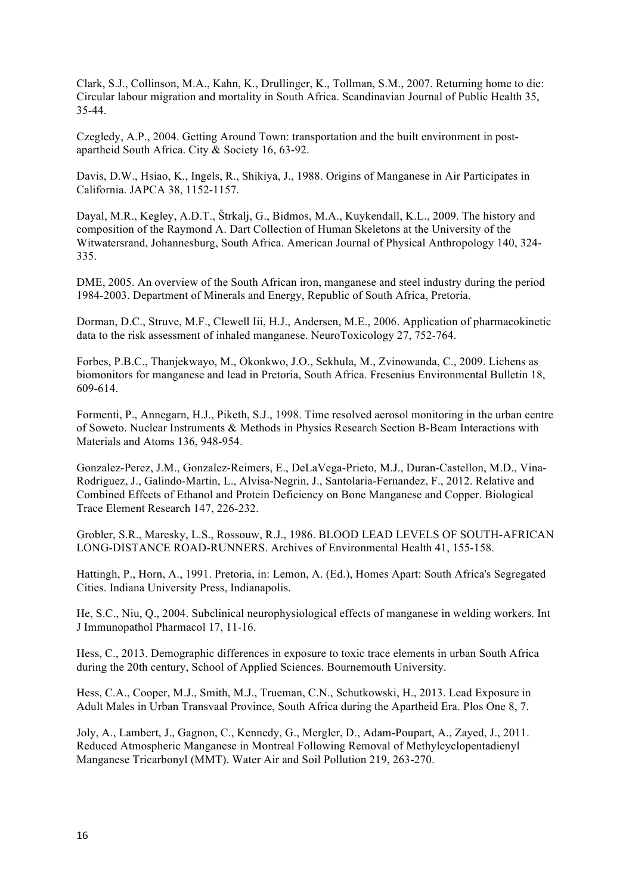Clark, S.J., Collinson, M.A., Kahn, K., Drullinger, K., Tollman, S.M., 2007. Returning home to die: Circular labour migration and mortality in South Africa. Scandinavian Journal of Public Health 35, 35-44.

Czegledy, A.P., 2004. Getting Around Town: transportation and the built environment in postapartheid South Africa. City & Society 16, 63-92.

Davis, D.W., Hsiao, K., Ingels, R., Shikiya, J., 1988. Origins of Manganese in Air Participates in California. JAPCA 38, 1152-1157.

Dayal, M.R., Kegley, A.D.T., Štrkalj, G., Bidmos, M.A., Kuykendall, K.L., 2009. The history and composition of the Raymond A. Dart Collection of Human Skeletons at the University of the Witwatersrand, Johannesburg, South Africa. American Journal of Physical Anthropology 140, 324- 335.

DME, 2005. An overview of the South African iron, manganese and steel industry during the period 1984-2003. Department of Minerals and Energy, Republic of South Africa, Pretoria.

Dorman, D.C., Struve, M.F., Clewell Iii, H.J., Andersen, M.E., 2006. Application of pharmacokinetic data to the risk assessment of inhaled manganese. NeuroToxicology 27, 752-764.

Forbes, P.B.C., Thanjekwayo, M., Okonkwo, J.O., Sekhula, M., Zvinowanda, C., 2009. Lichens as biomonitors for manganese and lead in Pretoria, South Africa. Fresenius Environmental Bulletin 18, 609-614.

Formenti, P., Annegarn, H.J., Piketh, S.J., 1998. Time resolved aerosol monitoring in the urban centre of Soweto. Nuclear Instruments & Methods in Physics Research Section B-Beam Interactions with Materials and Atoms 136, 948-954.

Gonzalez-Perez, J.M., Gonzalez-Reimers, E., DeLaVega-Prieto, M.J., Duran-Castellon, M.D., Vina-Rodriguez, J., Galindo-Martin, L., Alvisa-Negrin, J., Santolaria-Fernandez, F., 2012. Relative and Combined Effects of Ethanol and Protein Deficiency on Bone Manganese and Copper. Biological Trace Element Research 147, 226-232.

Grobler, S.R., Maresky, L.S., Rossouw, R.J., 1986. BLOOD LEAD LEVELS OF SOUTH-AFRICAN LONG-DISTANCE ROAD-RUNNERS. Archives of Environmental Health 41, 155-158.

Hattingh, P., Horn, A., 1991. Pretoria, in: Lemon, A. (Ed.), Homes Apart: South Africa's Segregated Cities. Indiana University Press, Indianapolis.

He, S.C., Niu, Q., 2004. Subclinical neurophysiological effects of manganese in welding workers. Int J Immunopathol Pharmacol 17, 11-16.

Hess, C., 2013. Demographic differences in exposure to toxic trace elements in urban South Africa during the 20th century, School of Applied Sciences. Bournemouth University.

Hess, C.A., Cooper, M.J., Smith, M.J., Trueman, C.N., Schutkowski, H., 2013. Lead Exposure in Adult Males in Urban Transvaal Province, South Africa during the Apartheid Era. Plos One 8, 7.

Joly, A., Lambert, J., Gagnon, C., Kennedy, G., Mergler, D., Adam-Poupart, A., Zayed, J., 2011. Reduced Atmospheric Manganese in Montreal Following Removal of Methylcyclopentadienyl Manganese Tricarbonyl (MMT). Water Air and Soil Pollution 219, 263-270.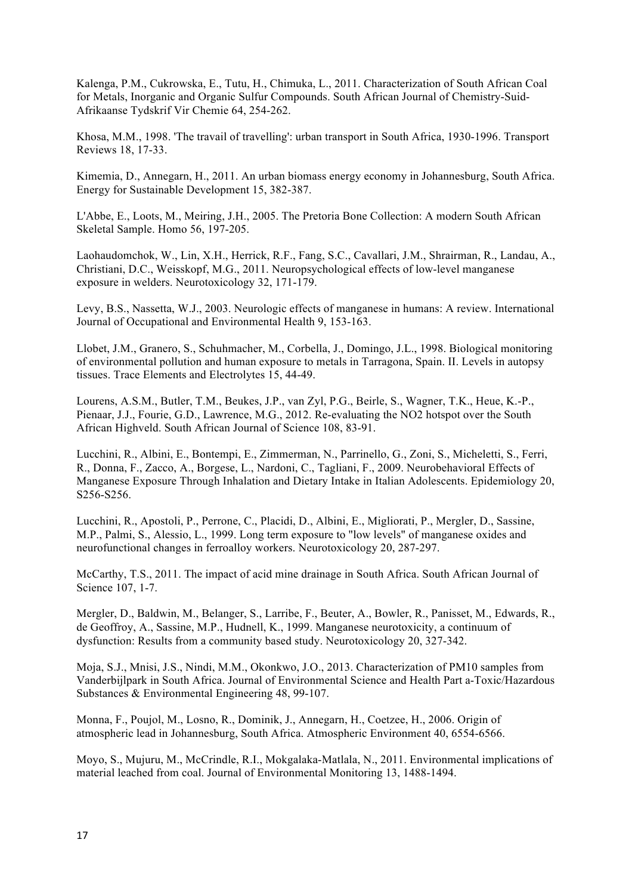Kalenga, P.M., Cukrowska, E., Tutu, H., Chimuka, L., 2011. Characterization of South African Coal for Metals, Inorganic and Organic Sulfur Compounds. South African Journal of Chemistry-Suid-Afrikaanse Tydskrif Vir Chemie 64, 254-262.

Khosa, M.M., 1998. 'The travail of travelling': urban transport in South Africa, 1930-1996. Transport Reviews 18, 17-33.

Kimemia, D., Annegarn, H., 2011. An urban biomass energy economy in Johannesburg, South Africa. Energy for Sustainable Development 15, 382-387.

L'Abbe, E., Loots, M., Meiring, J.H., 2005. The Pretoria Bone Collection: A modern South African Skeletal Sample. Homo 56, 197-205.

Laohaudomchok, W., Lin, X.H., Herrick, R.F., Fang, S.C., Cavallari, J.M., Shrairman, R., Landau, A., Christiani, D.C., Weisskopf, M.G., 2011. Neuropsychological effects of low-level manganese exposure in welders. Neurotoxicology 32, 171-179.

Levy, B.S., Nassetta, W.J., 2003. Neurologic effects of manganese in humans: A review. International Journal of Occupational and Environmental Health 9, 153-163.

Llobet, J.M., Granero, S., Schuhmacher, M., Corbella, J., Domingo, J.L., 1998. Biological monitoring of environmental pollution and human exposure to metals in Tarragona, Spain. II. Levels in autopsy tissues. Trace Elements and Electrolytes 15, 44-49.

Lourens, A.S.M., Butler, T.M., Beukes, J.P., van Zyl, P.G., Beirle, S., Wagner, T.K., Heue, K.-P., Pienaar, J.J., Fourie, G.D., Lawrence, M.G., 2012. Re-evaluating the NO2 hotspot over the South African Highveld. South African Journal of Science 108, 83-91.

Lucchini, R., Albini, E., Bontempi, E., Zimmerman, N., Parrinello, G., Zoni, S., Micheletti, S., Ferri, R., Donna, F., Zacco, A., Borgese, L., Nardoni, C., Tagliani, F., 2009. Neurobehavioral Effects of Manganese Exposure Through Inhalation and Dietary Intake in Italian Adolescents. Epidemiology 20, S256-S256.

Lucchini, R., Apostoli, P., Perrone, C., Placidi, D., Albini, E., Migliorati, P., Mergler, D., Sassine, M.P., Palmi, S., Alessio, L., 1999. Long term exposure to "low levels" of manganese oxides and neurofunctional changes in ferroalloy workers. Neurotoxicology 20, 287-297.

McCarthy, T.S., 2011. The impact of acid mine drainage in South Africa. South African Journal of Science 107, 1-7.

Mergler, D., Baldwin, M., Belanger, S., Larribe, F., Beuter, A., Bowler, R., Panisset, M., Edwards, R., de Geoffroy, A., Sassine, M.P., Hudnell, K., 1999. Manganese neurotoxicity, a continuum of dysfunction: Results from a community based study. Neurotoxicology 20, 327-342.

Moja, S.J., Mnisi, J.S., Nindi, M.M., Okonkwo, J.O., 2013. Characterization of PM10 samples from Vanderbijlpark in South Africa. Journal of Environmental Science and Health Part a-Toxic/Hazardous Substances & Environmental Engineering 48, 99-107.

Monna, F., Poujol, M., Losno, R., Dominik, J., Annegarn, H., Coetzee, H., 2006. Origin of atmospheric lead in Johannesburg, South Africa. Atmospheric Environment 40, 6554-6566.

Moyo, S., Mujuru, M., McCrindle, R.I., Mokgalaka-Matlala, N., 2011. Environmental implications of material leached from coal. Journal of Environmental Monitoring 13, 1488-1494.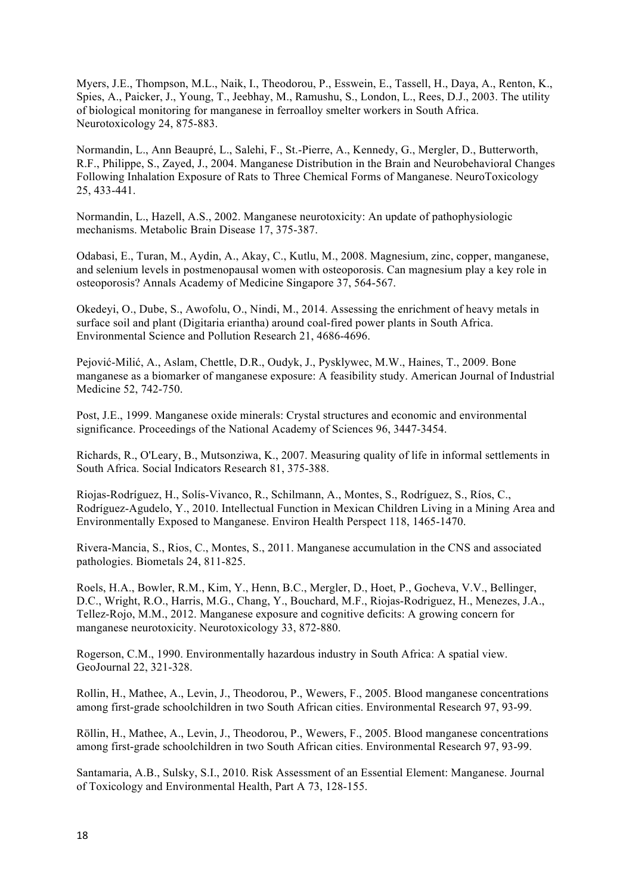Myers, J.E., Thompson, M.L., Naik, I., Theodorou, P., Esswein, E., Tassell, H., Daya, A., Renton, K., Spies, A., Paicker, J., Young, T., Jeebhay, M., Ramushu, S., London, L., Rees, D.J., 2003. The utility of biological monitoring for manganese in ferroalloy smelter workers in South Africa. Neurotoxicology 24, 875-883.

Normandin, L., Ann Beaupré, L., Salehi, F., St.-Pierre, A., Kennedy, G., Mergler, D., Butterworth, R.F., Philippe, S., Zayed, J., 2004. Manganese Distribution in the Brain and Neurobehavioral Changes Following Inhalation Exposure of Rats to Three Chemical Forms of Manganese. NeuroToxicology 25, 433-441.

Normandin, L., Hazell, A.S., 2002. Manganese neurotoxicity: An update of pathophysiologic mechanisms. Metabolic Brain Disease 17, 375-387.

Odabasi, E., Turan, M., Aydin, A., Akay, C., Kutlu, M., 2008. Magnesium, zinc, copper, manganese, and selenium levels in postmenopausal women with osteoporosis. Can magnesium play a key role in osteoporosis? Annals Academy of Medicine Singapore 37, 564-567.

Okedeyi, O., Dube, S., Awofolu, O., Nindi, M., 2014. Assessing the enrichment of heavy metals in surface soil and plant (Digitaria eriantha) around coal-fired power plants in South Africa. Environmental Science and Pollution Research 21, 4686-4696.

Pejović-Milić, A., Aslam, Chettle, D.R., Oudyk, J., Pysklywec, M.W., Haines, T., 2009. Bone manganese as a biomarker of manganese exposure: A feasibility study. American Journal of Industrial Medicine 52, 742-750.

Post, J.E., 1999. Manganese oxide minerals: Crystal structures and economic and environmental significance. Proceedings of the National Academy of Sciences 96, 3447-3454.

Richards, R., O'Leary, B., Mutsonziwa, K., 2007. Measuring quality of life in informal settlements in South Africa. Social Indicators Research 81, 375-388.

Riojas-Rodríguez, H., Solís-Vivanco, R., Schilmann, A., Montes, S., Rodríguez, S., Ríos, C., Rodríguez-Agudelo, Y., 2010. Intellectual Function in Mexican Children Living in a Mining Area and Environmentally Exposed to Manganese. Environ Health Perspect 118, 1465-1470.

Rivera-Mancia, S., Rios, C., Montes, S., 2011. Manganese accumulation in the CNS and associated pathologies. Biometals 24, 811-825.

Roels, H.A., Bowler, R.M., Kim, Y., Henn, B.C., Mergler, D., Hoet, P., Gocheva, V.V., Bellinger, D.C., Wright, R.O., Harris, M.G., Chang, Y., Bouchard, M.F., Riojas-Rodriguez, H., Menezes, J.A., Tellez-Rojo, M.M., 2012. Manganese exposure and cognitive deficits: A growing concern for manganese neurotoxicity. Neurotoxicology 33, 872-880.

Rogerson, C.M., 1990. Environmentally hazardous industry in South Africa: A spatial view. GeoJournal 22, 321-328.

Rollin, H., Mathee, A., Levin, J., Theodorou, P., Wewers, F., 2005. Blood manganese concentrations among first-grade schoolchildren in two South African cities. Environmental Research 97, 93-99.

Röllin, H., Mathee, A., Levin, J., Theodorou, P., Wewers, F., 2005. Blood manganese concentrations among first-grade schoolchildren in two South African cities. Environmental Research 97, 93-99.

Santamaria, A.B., Sulsky, S.I., 2010. Risk Assessment of an Essential Element: Manganese. Journal of Toxicology and Environmental Health, Part A 73, 128-155.